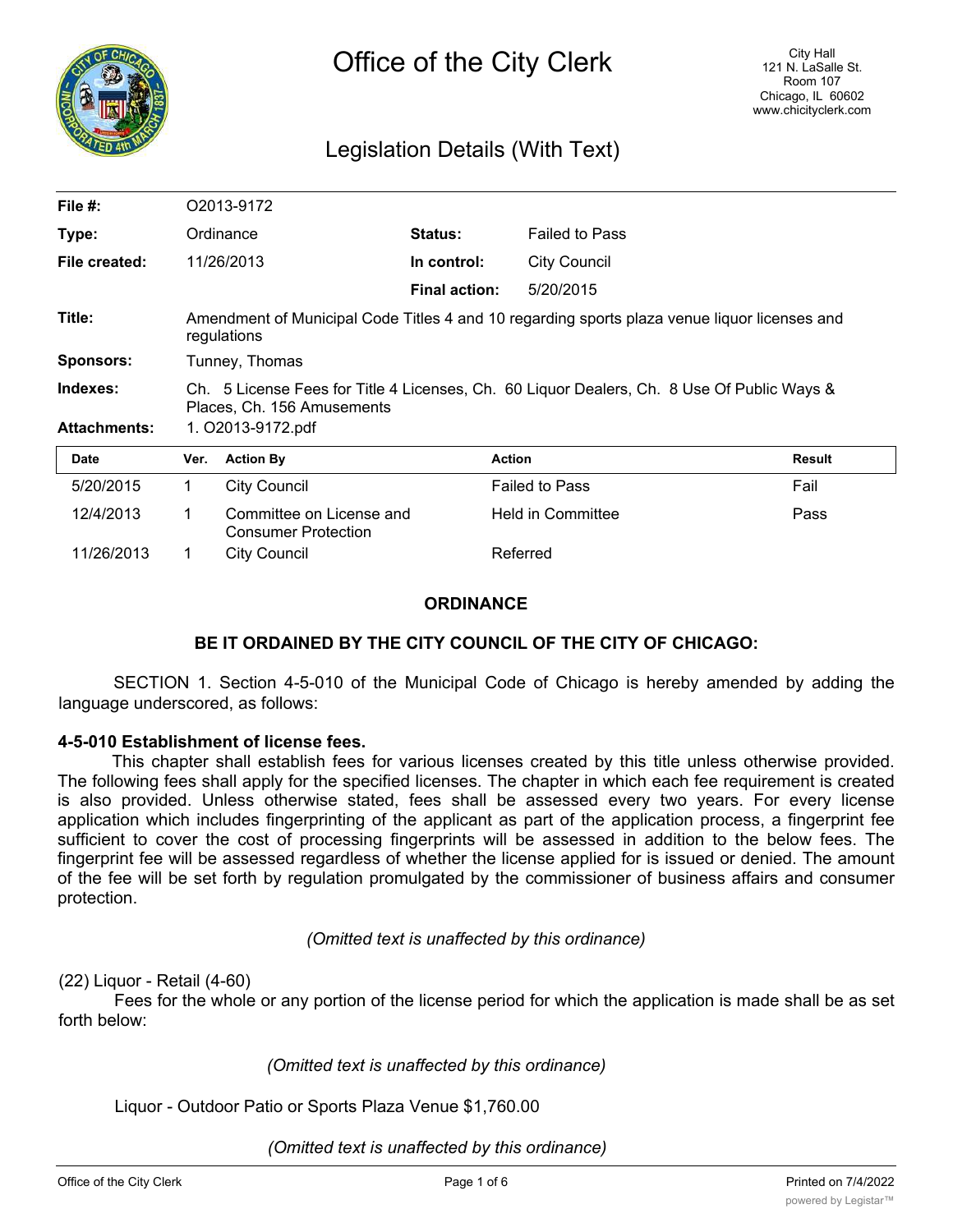

# Legislation Details (With Text)

| File #:             | O2013-9172                                                                                                               |                                                        |                      |                       |        |
|---------------------|--------------------------------------------------------------------------------------------------------------------------|--------------------------------------------------------|----------------------|-----------------------|--------|
| Type:               | Ordinance                                                                                                                |                                                        | <b>Status:</b>       | <b>Failed to Pass</b> |        |
| File created:       |                                                                                                                          | 11/26/2013                                             | In control:          | <b>City Council</b>   |        |
|                     |                                                                                                                          |                                                        | <b>Final action:</b> | 5/20/2015             |        |
| Title:              | Amendment of Municipal Code Titles 4 and 10 regarding sports plaza venue liquor licenses and<br>regulations              |                                                        |                      |                       |        |
| <b>Sponsors:</b>    | Tunney, Thomas                                                                                                           |                                                        |                      |                       |        |
| Indexes:            | Ch. 5 License Fees for Title 4 Licenses, Ch. 60 Liquor Dealers, Ch. 8 Use Of Public Ways &<br>Places, Ch. 156 Amusements |                                                        |                      |                       |        |
| <b>Attachments:</b> | 1. O2013-9172.pdf                                                                                                        |                                                        |                      |                       |        |
| <b>Date</b>         | Ver.                                                                                                                     | <b>Action By</b>                                       |                      | <b>Action</b>         | Result |
| 5/20/2015           | 1                                                                                                                        | <b>City Council</b>                                    |                      | <b>Failed to Pass</b> | Fail   |
| 12/4/2013           | 1                                                                                                                        | Committee on License and<br><b>Consumer Protection</b> |                      | Held in Committee     | Pass   |

# **ORDINANCE**

# **BE IT ORDAINED BY THE CITY COUNCIL OF THE CITY OF CHICAGO:**

SECTION 1. Section 4-5-010 of the Municipal Code of Chicago is hereby amended by adding the language underscored, as follows:

# **4-5-010 Establishment of license fees.**

This chapter shall establish fees for various licenses created by this title unless otherwise provided. The following fees shall apply for the specified licenses. The chapter in which each fee requirement is created is also provided. Unless otherwise stated, fees shall be assessed every two years. For every license application which includes fingerprinting of the applicant as part of the application process, a fingerprint fee sufficient to cover the cost of processing fingerprints will be assessed in addition to the below fees. The fingerprint fee will be assessed regardless of whether the license applied for is issued or denied. The amount of the fee will be set forth by regulation promulgated by the commissioner of business affairs and consumer protection.

# *(Omitted text is unaffected by this ordinance)*

# (22) Liquor - Retail (4-60)

Fees for the whole or any portion of the license period for which the application is made shall be as set forth below:

*(Omitted text is unaffected by this ordinance)*

Liquor - Outdoor Patio or Sports Plaza Venue \$1,760.00

11/26/2013 1 City Council 11/26/2013

*(Omitted text is unaffected by this ordinance)*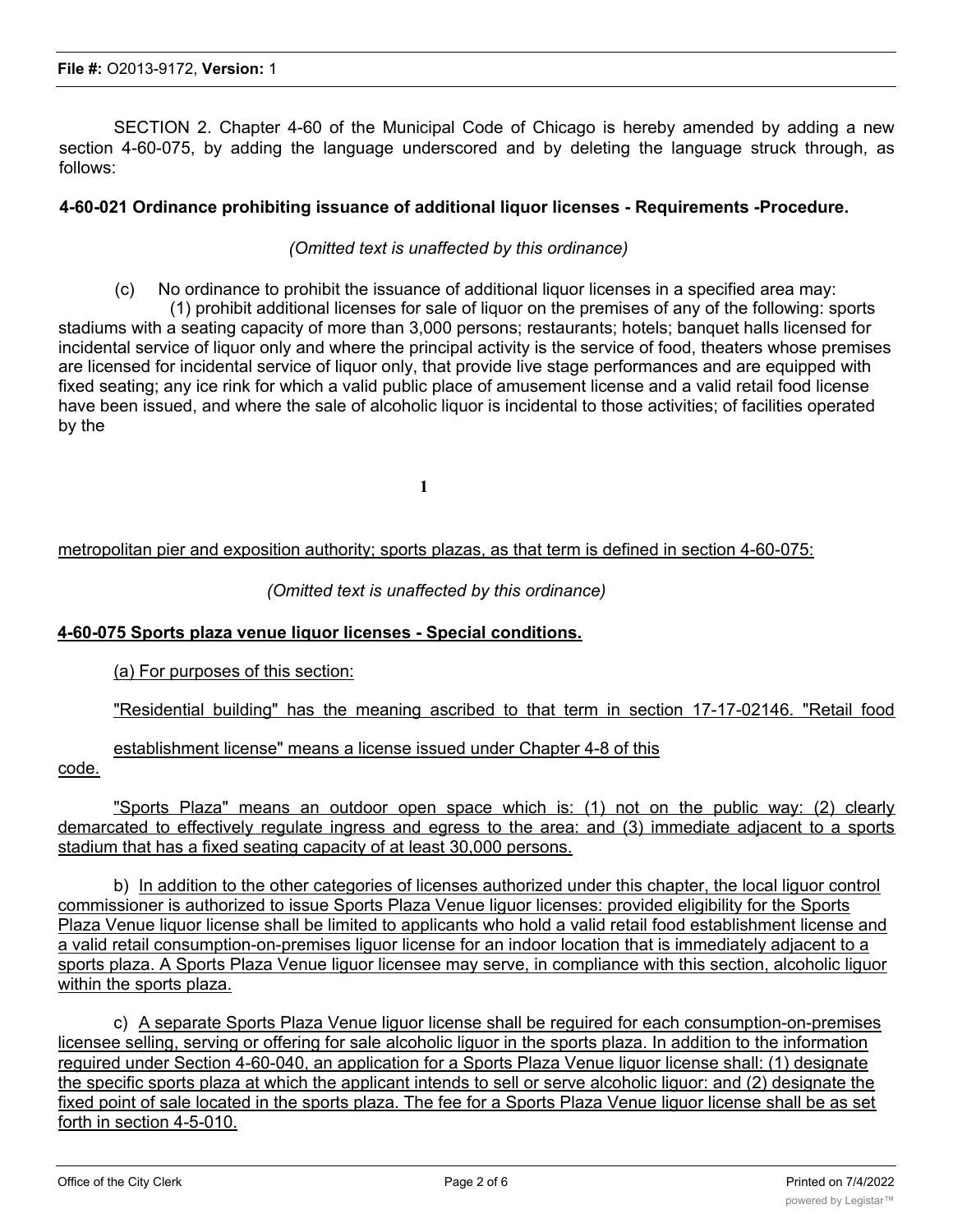SECTION 2. Chapter 4-60 of the Municipal Code of Chicago is hereby amended by adding a new section 4-60-075, by adding the language underscored and by deleting the language struck through, as follows:

# **4-60-021 Ordinance prohibiting issuance of additional liquor licenses - Requirements -Procedure.**

# *(Omitted text is unaffected by this ordinance)*

(c) No ordinance to prohibit the issuance of additional liquor licenses in a specified area may:

(1) prohibit additional licenses for sale of liquor on the premises of any of the following: sports stadiums with a seating capacity of more than 3,000 persons; restaurants; hotels; banquet halls licensed for incidental service of liquor only and where the principal activity is the service of food, theaters whose premises are licensed for incidental service of liquor only, that provide live stage performances and are equipped with fixed seating; any ice rink for which a valid public place of amusement license and a valid retail food license have been issued, and where the sale of alcoholic liquor is incidental to those activities; of facilities operated by the

**1**

# metropolitan pier and exposition authority; sports plazas, as that term is defined in section 4-60-075:

# *(Omitted text is unaffected by this ordinance)*

# **4-60-075 Sports plaza venue liquor licenses - Special conditions.**

(a) For purposes of this section:

"Residential building" has the meaning ascribed to that term in section 17-17-02146. "Retail food

establishment license" means a license issued under Chapter 4-8 of this

code.

"Sports Plaza" means an outdoor open space which is: (1) not on the public way: (2) clearly demarcated to effectively regulate ingress and egress to the area: and (3) immediate adjacent to a sports stadium that has a fixed seating capacity of at least 30,000 persons.

b) In addition to the other categories of licenses authorized under this chapter, the local liguor control commissioner is authorized to issue Sports Plaza Venue liguor licenses: provided eligibility for the Sports Plaza Venue liquor license shall be limited to applicants who hold a valid retail food establishment license and a valid retail consumption-on-premises liguor license for an indoor location that is immediately adjacent to a sports plaza. A Sports Plaza Venue liguor licensee may serve, in compliance with this section, alcoholic liguor within the sports plaza.

c) A separate Sports Plaza Venue liguor license shall be reguired for each consumption-on-premises licensee selling, serving or offering for sale alcoholic liguor in the sports plaza. In addition to the information reguired under Section 4-60-040, an application for a Sports Plaza Venue liguor license shall: (1) designate the specific sports plaza at which the applicant intends to sell or serve alcoholic liguor: and (2) designate the fixed point of sale located in the sports plaza. The fee for a Sports Plaza Venue liguor license shall be as set forth in section 4-5-010.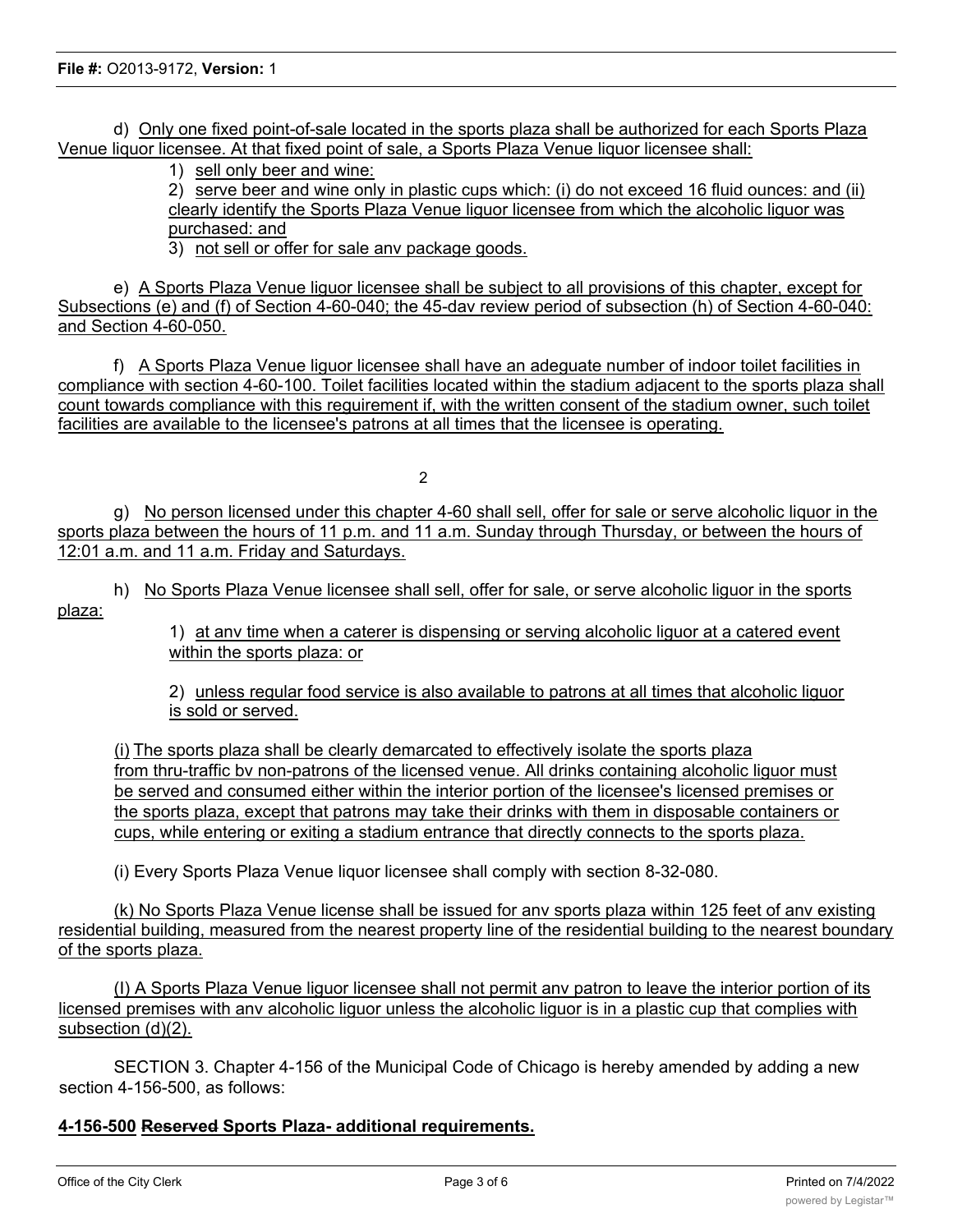d) Only one fixed point-of-sale located in the sports plaza shall be authorized for each Sports Plaza Venue liquor licensee. At that fixed point of sale, a Sports Plaza Venue liquor licensee shall:

1) sell only beer and wine:

2) serve beer and wine only in plastic cups which: (i) do not exceed 16 fluid ounces: and (ii) clearly identify the Sports Plaza Venue liguor licensee from which the alcoholic liguor was purchased: and

3) not sell or offer for sale anv package goods.

e) A Sports Plaza Venue liguor licensee shall be subject to all provisions of this chapter, except for Subsections (e) and (f) of Section 4-60-040; the 45-dav review period of subsection (h) of Section 4-60-040: and Section 4-60-050.

f) A Sports Plaza Venue liguor licensee shall have an adeguate number of indoor toilet facilities in compliance with section 4-60-100. Toilet facilities located within the stadium adjacent to the sports plaza shall count towards compliance with this reguirement if, with the written consent of the stadium owner, such toilet facilities are available to the licensee's patrons at all times that the licensee is operating.

 $\mathfrak{D}$ 

g) No person licensed under this chapter 4-60 shall sell, offer for sale or serve alcoholic liquor in the sports plaza between the hours of 11 p.m. and 11 a.m. Sunday through Thursday, or between the hours of 12:01 a.m. and 11 a.m. Friday and Saturdays.

h) No Sports Plaza Venue licensee shall sell, offer for sale, or serve alcoholic liguor in the sports plaza:

> 1) at anv time when a caterer is dispensing or serving alcoholic liguor at a catered event within the sports plaza: or

> 2) unless regular food service is also available to patrons at all times that alcoholic liguor is sold or served.

(i) The sports plaza shall be clearly demarcated to effectively isolate the sports plaza from thru-traffic bv non-patrons of the licensed venue. All drinks containing alcoholic liguor must be served and consumed either within the interior portion of the licensee's licensed premises or the sports plaza, except that patrons may take their drinks with them in disposable containers or cups, while entering or exiting a stadium entrance that directly connects to the sports plaza.

(i) Every Sports Plaza Venue liquor licensee shall comply with section 8-32-080.

(k) No Sports Plaza Venue license shall be issued for anv sports plaza within 125 feet of anv existing residential building, measured from the nearest property line of the residential building to the nearest boundary of the sports plaza.

(I) A Sports Plaza Venue liguor licensee shall not permit anv patron to leave the interior portion of its licensed premises with anv alcoholic liguor unless the alcoholic liguor is in a plastic cup that complies with subsection (d)(2).

SECTION 3. Chapter 4-156 of the Municipal Code of Chicago is hereby amended by adding a new section 4-156-500, as follows:

# **4-156-500 Reserved Sports Plaza- additional requirements.**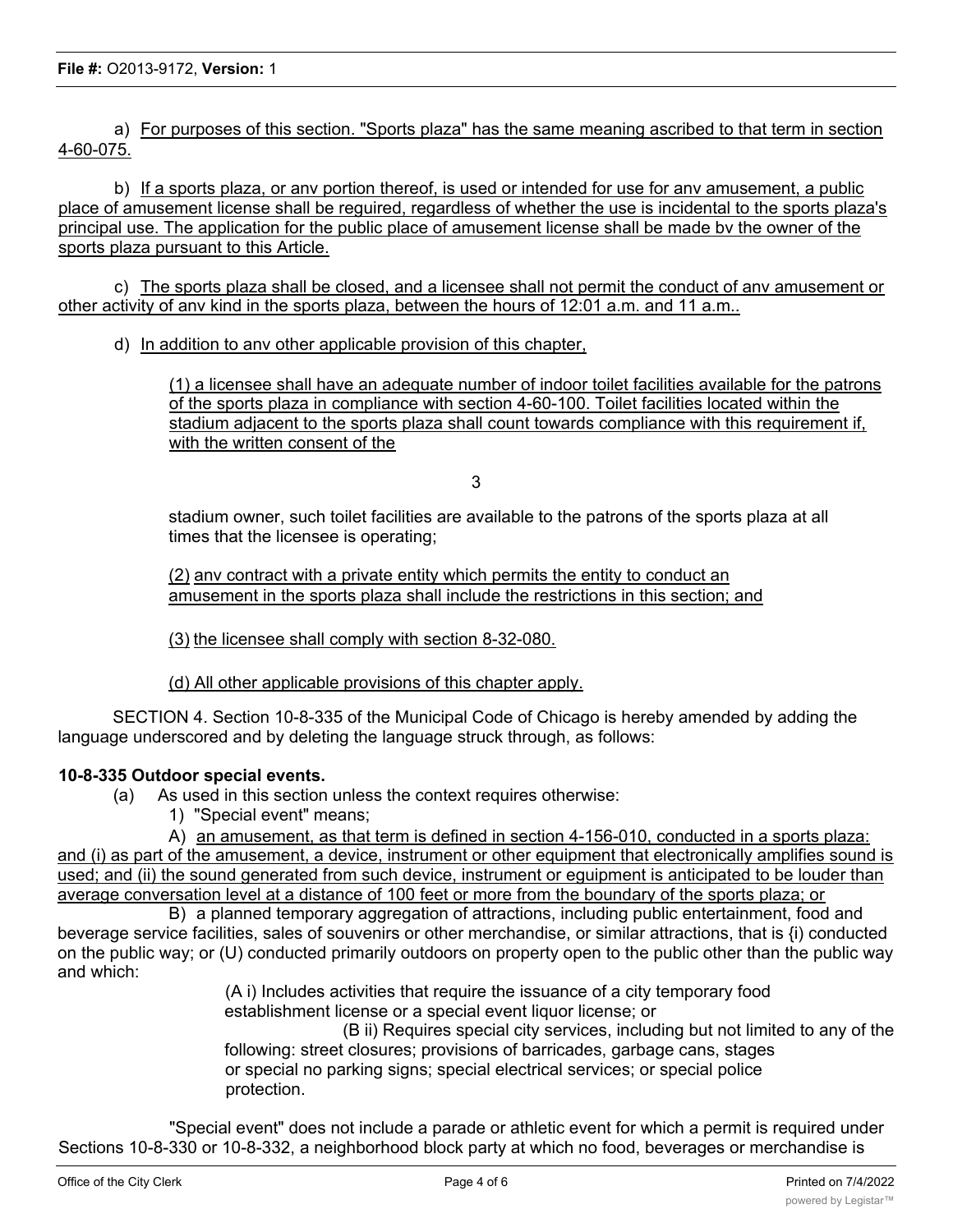a) For purposes of this section. "Sports plaza" has the same meaning ascribed to that term in section 4-60-075.

b) If a sports plaza, or anv portion thereof, is used or intended for use for anv amusement, a public place of amusement license shall be reguired, regardless of whether the use is incidental to the sports plaza's principal use. The application for the public place of amusement license shall be made bv the owner of the sports plaza pursuant to this Article.

c) The sports plaza shall be closed, and a licensee shall not permit the conduct of anv amusement or other activity of anv kind in the sports plaza, between the hours of 12:01 a.m. and 11 a.m..

d) In addition to anv other applicable provision of this chapter,

(1) a licensee shall have an adequate number of indoor toilet facilities available for the patrons of the sports plaza in compliance with section 4-60-100. Toilet facilities located within the stadium adjacent to the sports plaza shall count towards compliance with this requirement if, with the written consent of the

3

stadium owner, such toilet facilities are available to the patrons of the sports plaza at all times that the licensee is operating;

(2) anv contract with a private entity which permits the entity to conduct an amusement in the sports plaza shall include the restrictions in this section; and

(3) the licensee shall comply with section 8-32-080.

(d) All other applicable provisions of this chapter apply.

SECTION 4. Section 10-8-335 of the Municipal Code of Chicago is hereby amended by adding the language underscored and by deleting the language struck through, as follows:

# **10-8-335 Outdoor special events.**

- (a) As used in this section unless the context requires otherwise:
	- 1) "Special event" means;

A) an amusement, as that term is defined in section 4-156-010, conducted in a sports plaza: and (i) as part of the amusement, a device, instrument or other equipment that electronically amplifies sound is used; and (ii) the sound generated from such device, instrument or eguipment is anticipated to be louder than average conversation level at a distance of 100 feet or more from the boundary of the sports plaza; or

B) a planned temporary aggregation of attractions, including public entertainment, food and beverage service facilities, sales of souvenirs or other merchandise, or similar attractions, that is {i) conducted on the public way; or (U) conducted primarily outdoors on property open to the public other than the public way and which:

(A i) Includes activities that require the issuance of a city temporary food establishment license or a special event liquor license; or

(B ii) Requires special city services, including but not limited to any of the following: street closures; provisions of barricades, garbage cans, stages or special no parking signs; special electrical services; or special police protection.

"Special event" does not include a parade or athletic event for which a permit is required under Sections 10-8-330 or 10-8-332, a neighborhood block party at which no food, beverages or merchandise is